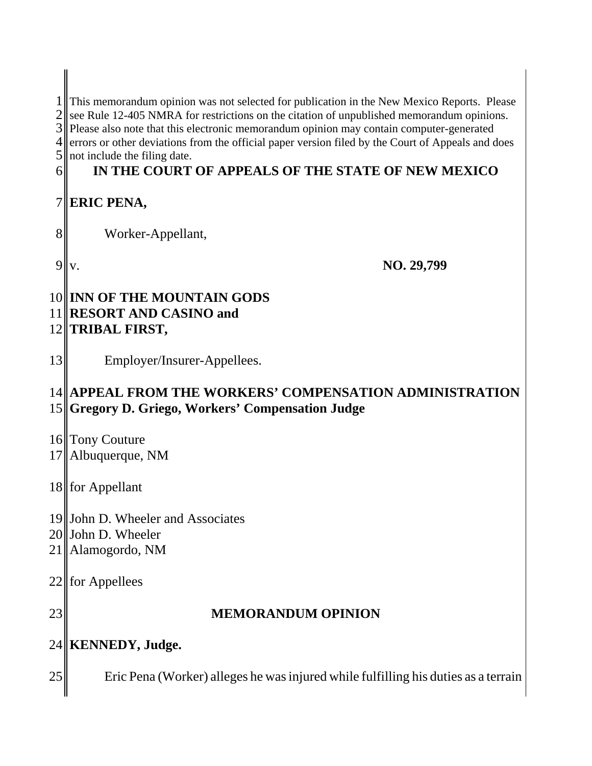1 This memorandum opinion was not selected for publication in the New Mexico Reports. Please 2 see Rule 12-405 NMRA for restrictions on the citation of unpublished memorandum opinions.<br>3 Please also note that this electronic memorandum opinion may contain computer-generated Please also note that this electronic memorandum opinion may contain computer-generated errors or other deviations from the official paper version filed by the Court of Appeals and does not include the filing date.

## **IN THE COURT OF APPEALS OF THE STATE OF NEW MEXICO**

## **ERIC PENA,**

8 || Worker-Appellant,

v. **NO. 29,799**

### **INN OF THE MOUNTAIN GODS RESORT AND CASINO and TRIBAL FIRST,**

13 Employer/Insurer-Appellees.

## **APPEAL FROM THE WORKERS' COMPENSATION ADMINISTRATION Gregory D. Griego, Workers' Compensation Judge**

- 16 Tony Couture
- 17 Albuquerque, NM
- 18 for Appellant
- John D. Wheeler and Associates
- 20 John D. Wheeler
- Alamogordo, NM
- for Appellees
- 

## **MEMORANDUM OPINION**

# **KENNEDY, Judge.**

25 Eric Pena (Worker) alleges he was injured while fulfilling his duties as a terrain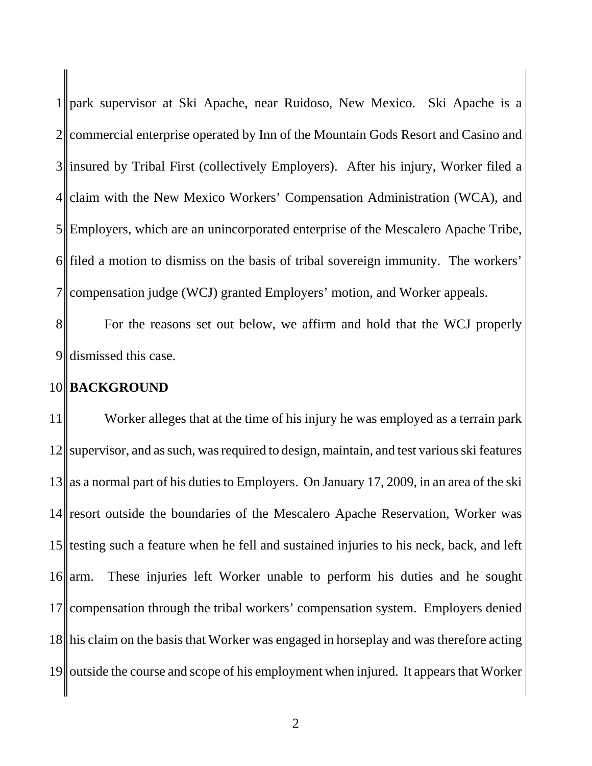$1$  park supervisor at Ski Apache, near Ruidoso, New Mexico. Ski Apache is a  $2$  commercial enterprise operated by Inn of the Mountain Gods Resort and Casino and 3 insured by Tribal First (collectively Employers). After his injury, Worker filed a 4 claim with the New Mexico Workers' Compensation Administration (WCA), and 5 Employers, which are an unincorporated enterprise of the Mescalero Apache Tribe, 6 filed a motion to dismiss on the basis of tribal sovereign immunity. The workers' 7 compensation judge (WCJ) granted Employers' motion, and Worker appeals.

8 For the reasons set out below, we affirm and hold that the WCJ properly 9 dismissed this case.

#### 10 **BACKGROUND**

11<sup> $\parallel$ </sup> Worker alleges that at the time of his injury he was employed as a terrain park 12 supervisor, and as such, was required to design, maintain, and test various ski features  $13$  as a normal part of his duties to Employers. On January 17, 2009, in an area of the ski 14 resort outside the boundaries of the Mescalero Apache Reservation, Worker was 15 testing such a feature when he fell and sustained injuries to his neck, back, and left 16 arm. These injuries left Worker unable to perform his duties and he sought 17 compensation through the tribal workers' compensation system. Employers denied 18 his claim on the basis that Worker was engaged in horseplay and was therefore acting 19 outside the course and scope of his employment when injured. It appears that Worker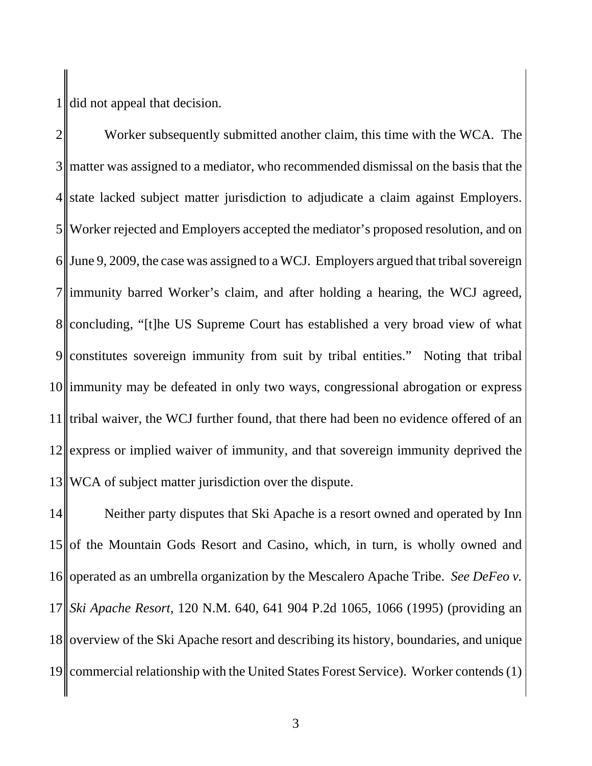$1$  did not appeal that decision.

2<sup> $\parallel$ </sup> Worker subsequently submitted another claim, this time with the WCA. The 3 matter was assigned to a mediator, who recommended dismissal on the basis that the  $4$  state lacked subject matter jurisdiction to adjudicate a claim against Employers. 5 Worker rejected and Employers accepted the mediator's proposed resolution, and on  $6$  June 9, 2009, the case was assigned to a WCJ. Employers argued that tribal sovereign 7 immunity barred Worker's claim, and after holding a hearing, the WCJ agreed, 8 concluding, "[t]he US Supreme Court has established a very broad view of what 9 constitutes sovereign immunity from suit by tribal entities." Noting that tribal 10 immunity may be defeated in only two ways, congressional abrogation or express 11 tribal waiver, the WCJ further found, that there had been no evidence offered of an 12 express or implied waiver of immunity, and that sovereign immunity deprived the 13 WCA of subject matter jurisdiction over the dispute.

14 Neither party disputes that Ski Apache is a resort owned and operated by Inn  $15$  of the Mountain Gods Resort and Casino, which, in turn, is wholly owned and 16 operated as an umbrella organization by the Mescalero Apache Tribe. *See DeFeo v.* 17 *Ski Apache Resort*, 120 N.M. 640, 641 904 P.2d 1065, 1066 (1995) (providing an 18 overview of the Ski Apache resort and describing its history, boundaries, and unique 19 commercial relationship with the United States Forest Service). Worker contends (1)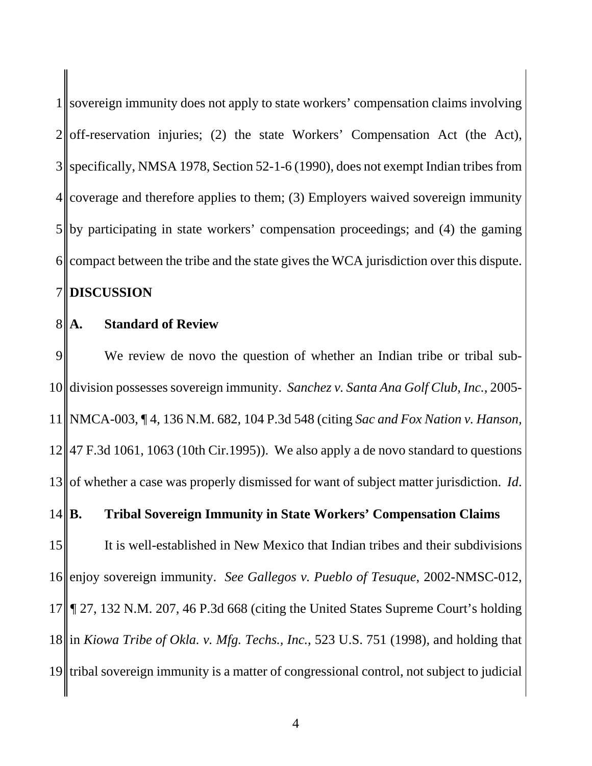1 sovereign immunity does not apply to state workers' compensation claims involving  $2\parallel$  off-reservation injuries; (2) the state Workers' Compensation Act (the Act), specifically, NMSA 1978, Section 52-1-6 (1990), does not exempt Indian tribes from coverage and therefore applies to them; (3) Employers waived sovereign immunity by participating in state workers' compensation proceedings; and (4) the gaming compact between the tribe and the state gives the WCA jurisdiction over this dispute. **DISCUSSION** 

### 8<sup>|</sup>|**A.** Standard of Review

9 We review de novo the question of whether an Indian tribe or tribal sub- division possesses sovereign immunity. *Sanchez v. Santa Ana Golf Club, Inc.*, 2005- NMCA-003, ¶ 4, 136 N.M. 682, 104 P.3d 548 (citing *Sac and Fox Nation v. Hanson,*  $12 \parallel 47$  F.3d 1061, 1063 (10th Cir.1995)). We also apply a de novo standard to questions 13<sup> $\parallel$ </sup> of whether a case was properly dismissed for want of subject matter jurisdiction. *Id*. **B. Tribal Sovereign Immunity in State Workers' Compensation Claims** 15 It is well-established in New Mexico that Indian tribes and their subdivisions enjoy sovereign immunity. *See Gallegos v. Pueblo of Tesuque*, 2002-NMSC-012, *¶* 27, 132 N.M. 207, 46 P.3d 668 (citing the United States Supreme Court's holding in *Kiowa Tribe of Okla. v. Mfg. Techs., Inc.*, 523 U.S. 751 (1998), and holding that tribal sovereign immunity is a matter of congressional control, not subject to judicial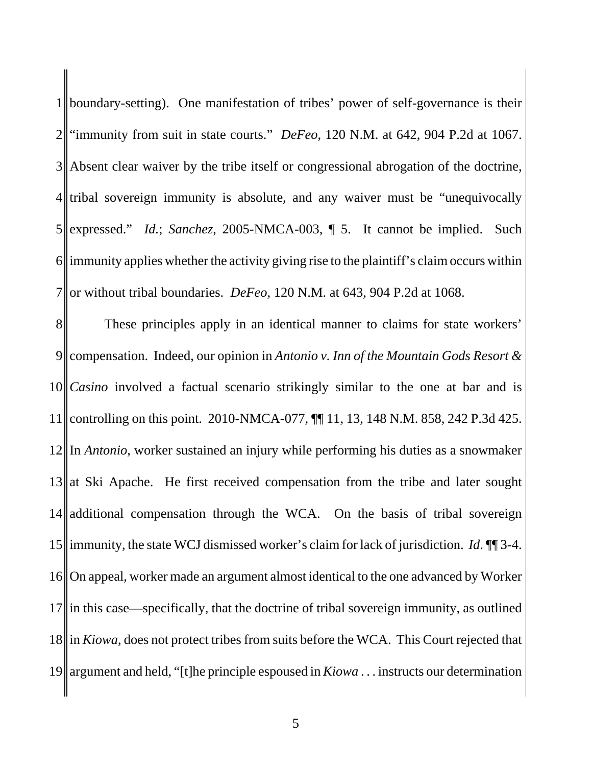1 boundary-setting). One manifestation of tribes' power of self-governance is their "immunity from suit in state courts." *DeFeo*, 120 N.M. at 642, 904 P.2d at 1067. Absent clear waiver by the tribe itself or congressional abrogation of the doctrine, tribal sovereign immunity is absolute, and any waiver must be "unequivocally" expressed." *Id.*; *Sanchez*, 2005-NMCA-003, ¶ 5. It cannot be implied. Such immunity applies whether the activity giving rise to the plaintiff's claim occurs within 7 or without tribal boundaries. *DeFeo*, 120 N.M. at 643, 904 P.2d at 1068.

8<sup>1</sup> These principles apply in an identical manner to claims for state workers' 9 compensation. Indeed, our opinion in *Antonio v. Inn of the Mountain Gods Resort & Casino* involved a factual scenario strikingly similar to the one at bar and is controlling on this point. 2010-NMCA-077, ¶¶ 11, 13, 148 N.M. 858, 242 P.3d 425. In *Antonio*, worker sustained an injury while performing his duties as a snowmaker at Ski Apache. He first received compensation from the tribe and later sought 14 additional compensation through the WCA. On the basis of tribal sovereign immunity, the state WCJ dismissed worker's claim for lack of jurisdiction. *Id*. ¶¶ 3-4. 16 On appeal, worker made an argument almost identical to the one advanced by Worker in this case—specifically, that the doctrine of tribal sovereign immunity, as outlined in *Kiowa*, does not protect tribes from suits before the WCA. This Court rejected that argument and held, "[t]he principle espoused in *Kiowa* . . . instructs our determination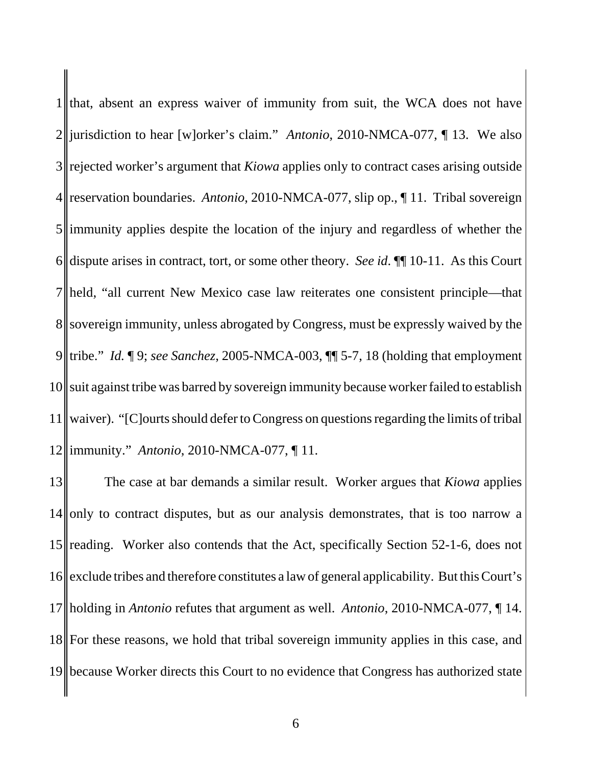that, absent an express waiver of immunity from suit, the WCA does not have 2<sup>|</sup>|jurisdiction to hear [w]orker's claim." *Antonio*, 2010-NMCA-077, ¶ 13. We also 3 rejected worker's argument that *Kiowa* applies only to contract cases arising outside reservation boundaries. *Antonio*, 2010-NMCA-077, slip op., ¶ 11. Tribal sovereign immunity applies despite the location of the injury and regardless of whether the dispute arises in contract, tort, or some other theory. *See id*. ¶¶ 10-11. As this Court held, "all current New Mexico case law reiterates one consistent principle—that 8 sovereign immunity, unless abrogated by Congress, must be expressly waived by the tribe." *Id.* ¶ 9; *see Sanchez*, 2005-NMCA-003, ¶¶ 5-7, 18 (holding that employment suit against tribe was barred by sovereign immunity because worker failed to establish waiver). "[C]ourts should defer to Congress on questions regarding the limits of tribal immunity." *Antonio*, 2010-NMCA-077, ¶ 11.

 The case at bar demands a similar result. Worker argues that *Kiowa* applies only to contract disputes, but as our analysis demonstrates, that is too narrow a 15 reading. Worker also contends that the Act, specifically Section 52-1-6, does not 16 exclude tribes and therefore constitutes a law of general applicability. But this Court's holding in *Antonio* refutes that argument as well. *Antonio*, 2010-NMCA-077, ¶ 14. For these reasons, we hold that tribal sovereign immunity applies in this case, and because Worker directs this Court to no evidence that Congress has authorized state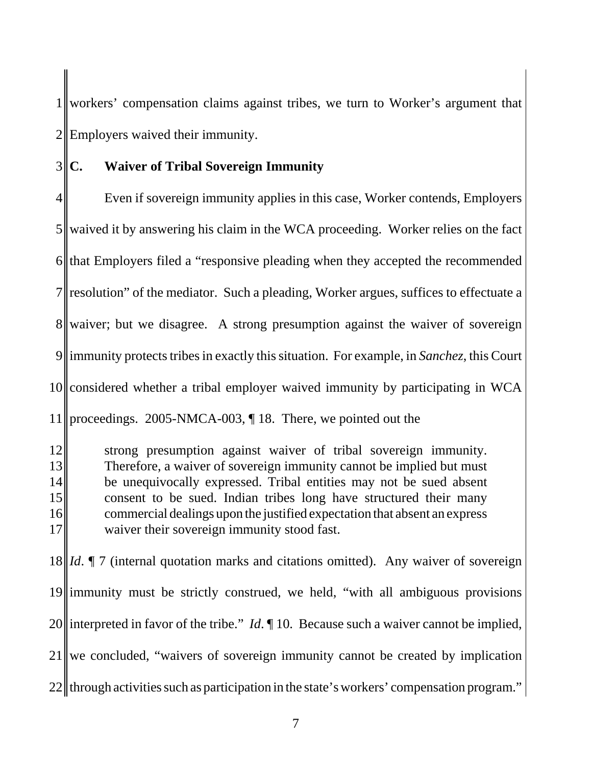1 workers' compensation claims against tribes, we turn to Worker's argument that  $2$  Employers waived their immunity.

### 3 **C. Waiver of Tribal Sovereign Immunity**

4 Even if sovereign immunity applies in this case, Worker contends, Employers waived it by answering his claim in the WCA proceeding. Worker relies on the fact that Employers filed a "responsive pleading when they accepted the recommended resolution" of the mediator. Such a pleading, Worker argues, suffices to effectuate a 8 waiver; but we disagree. A strong presumption against the waiver of sovereign immunity protects tribes in exactly this situation. For example, in *Sanchez*, this Court considered whether a tribal employer waived immunity by participating in WCA proceedings. 2005-NMCA-003, ¶ 18. There, we pointed out the

12<sup> $\parallel$ </sup> strong presumption against waiver of tribal sovereign immunity. 13 Therefore, a waiver of sovereign immunity cannot be implied but must 14 be unequivocally expressed. Tribal entities may not be sued absent 15 consent to be sued. Indian tribes long have structured their many 16 commercial dealings upon the justified expectation that absent an express 17 waiver their sovereign immunity stood fast.

18 *Id*. ¶ 7 (internal quotation marks and citations omitted). Any waiver of sovereign 19 immunity must be strictly construed, we held, "with all ambiguous provisions" 20 interpreted in favor of the tribe." *Id*.  $\parallel$  10. Because such a waiver cannot be implied,  $21$  we concluded, "waivers of sovereign immunity cannot be created by implication  $22$  through activities such as participation in the state's workers' compensation program."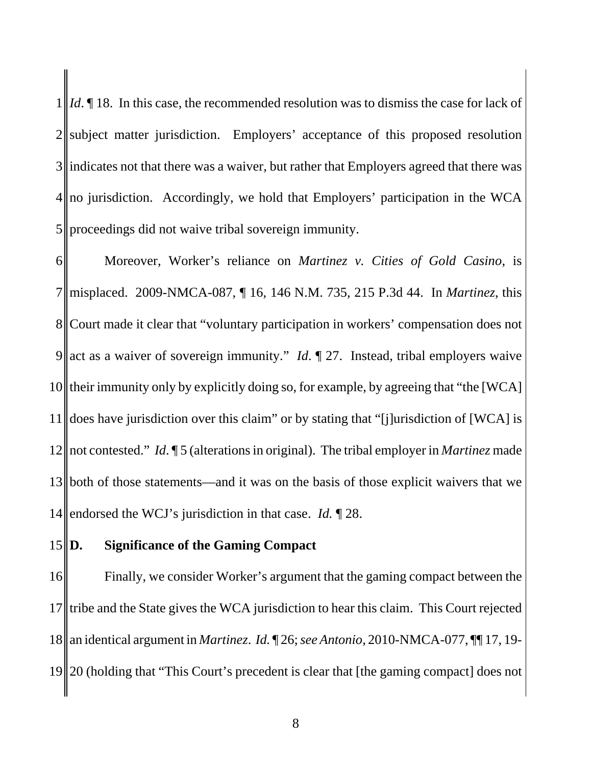$1 \| Id. \P 18.$  In this case, the recommended resolution was to dismiss the case for lack of subject matter jurisdiction. Employers' acceptance of this proposed resolution indicates not that there was a waiver, but rather that Employers agreed that there was no jurisdiction. Accordingly, we hold that Employers' participation in the WCA proceedings did not waive tribal sovereign immunity.

 Moreover, Worker's reliance on *Martinez v. Cities of Gold Casino*, is misplaced. 2009-NMCA-087, ¶ 16, 146 N.M. 735, 215 P.3d 44. In *Martinez*, this 8 Court made it clear that "voluntary participation in workers' compensation does not 9 act as a waiver of sovereign immunity." *Id*. 1 27. Instead, tribal employers waive their immunity only by explicitly doing so, for example, by agreeing that "the [WCA] does have jurisdiction over this claim" or by stating that "[j]urisdiction of [WCA] is not contested." *Id*. ¶ 5 (alterations in original). The tribal employer in *Martinez* made both of those statements—and it was on the basis of those explicit waivers that we endorsed the WCJ's jurisdiction in that case. *Id.* ¶ 28.

#### **D. Significance of the Gaming Compact**

16 Finally, we consider Worker's argument that the gaming compact between the tribe and the State gives the WCA jurisdiction to hear this claim. This Court rejected an identical argument in *Martinez*. *Id.* ¶ 26; *see Antonio*, 2010-NMCA-077, ¶¶ 17, 19- 20 (holding that "This Court's precedent is clear that [the gaming compact] does not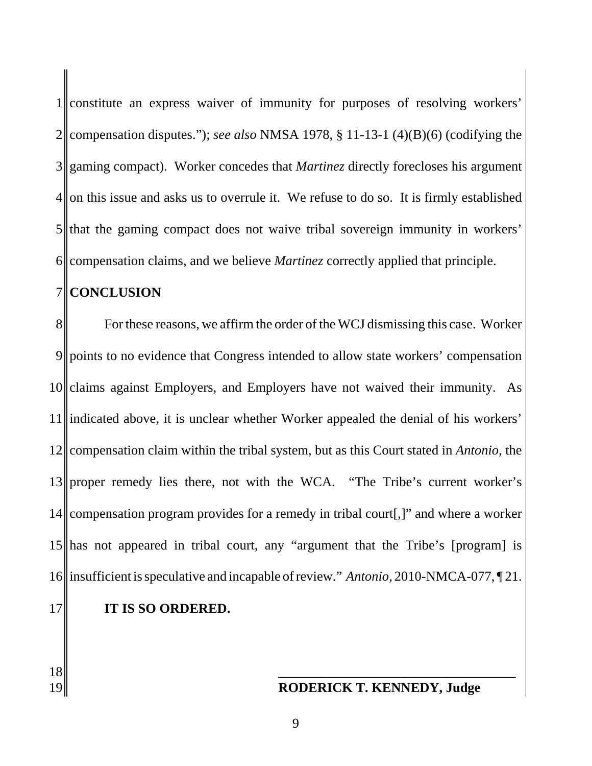constitute an express waiver of immunity for purposes of resolving workers' 2 compensation disputes."); *see also* NMSA 1978, § 11-13-1 (4)(B)(6) (codifying the gaming compact). Worker concedes that *Martinez* directly forecloses his argument on this issue and asks us to overrule it. We refuse to do so. It is firmly established that the gaming compact does not waive tribal sovereign immunity in workers' 6 compensation claims, and we believe *Martinez* correctly applied that principle.

#### 7 **CONCLUSION**

8 For these reasons, we affirm the order of the WCJ dismissing this case. Worker 9 points to no evidence that Congress intended to allow state workers' compensation 10 claims against Employers, and Employers have not waived their immunity. As 11 indicated above, it is unclear whether Worker appealed the denial of his workers' 12 compensation claim within the tribal system, but as this Court stated in *Antonio*, the 13 proper remedy lies there, not with the WCA. "The Tribe's current worker's 14 compensation program provides for a remedy in tribal court[,]" and where a worker 15 has not appeared in tribal court, any "argument that the Tribe's [program] is 16 insufficient is speculative and incapable of review." *Antonio*, 2010-NMCA-077, ¶ 21.

### 17 **IT IS SO ORDERED.**

18 **|** 

## 19 **RODERICK T. KENNEDY, Judge**